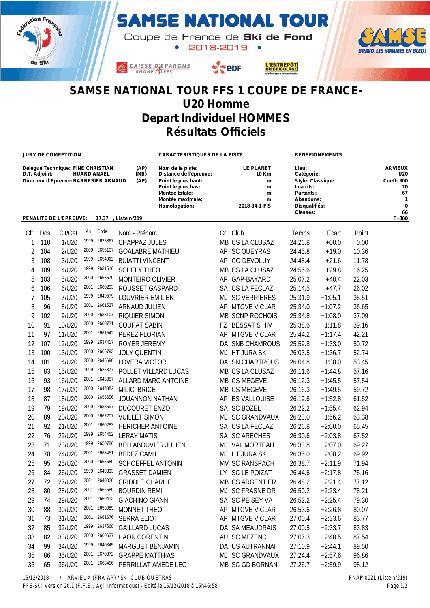

## **SAMSE NATIONAL TOUR**

Coupe de France de Ski de Fond 2018-2019 .





## **Depart Individuel HOMMES Résultats Officiels**

**JURY DE COMPETITION CARACTERISTIQUES DE LA PISTE RENSEIGNEMENTS**

L'ENTREPÔT<br>DU BRICOLAGE

| Déléqué Technique: FINE CHRISTIAN                | (AP)                                                  | Nom de la piste:    | <b>LE PLANET</b> | Lieu:                   | <b>ARVIEUX</b>    |
|--------------------------------------------------|-------------------------------------------------------|---------------------|------------------|-------------------------|-------------------|
| D.T. Adjoint:<br><b>HUARD ANAEL</b>              | (MB)<br>Catégorie:<br>Distance de l'épreuve:<br>10 Km |                     |                  | U20                     |                   |
| Directeur d'Epreuve: BARBESIER ARNAUD            | (AP)                                                  | Point le plus haut: | m                | <b>Style: Classique</b> | <b>Coeff: 800</b> |
|                                                  |                                                       | Point le plus bas:  | m                | Inscrits:               | 70                |
|                                                  |                                                       | Montée totale:      | m                | Partants:               | 67                |
|                                                  |                                                       | Montée maximale:    | m                | Abandons:               |                   |
|                                                  |                                                       | Homologation:       | 2018-34-1-FIS    | Disqualifiés:           | $\mathbf{0}$      |
|                                                  |                                                       |                     |                  | Classés:                | 66                |
| PENALITE DE L'EPREUVE:<br>17.37<br>. Liste n°219 |                                                       |                     |                  |                         | $F = 800$         |

|            | CIt. Dos                              | Clt/Cat | An   | Code         | Nom - Prénom               |  | Cr Club         | Temps   | Ecart                       | Point |
|------------|---------------------------------------|---------|------|--------------|----------------------------|--|-----------------|---------|-----------------------------|-------|
| 1          | 110                                   | 1/U20   | 1999 | 2625867      | <b>CHAPPAZ JULES</b>       |  | MB CS LA CLUSAZ | 24:26.8 | $+00.0$                     | 0.00  |
| 2          | 104                                   | 2/U20   | 2000 | 2656107      | <b>GOALABRE MATHIEU</b>    |  | AP SC QUEYRAS   | 24:45.8 | $+19.0$                     | 10.36 |
| 3          | 108                                   | 3/U20   | 1999 | 2654962      | <b>BUIATTI VINCENT</b>     |  | AP CO DEVOLUY   | 24:48.4 | $+21.6$                     | 11.78 |
| 4          | 109                                   | 4/U20   | 1999 | 2631516      | <b>SCHELY THEO</b>         |  | MB CS LA CLUSAZ | 24:56.6 | $+29.8$                     | 16.25 |
| 5          | 103                                   | 5/U20   | 2000 | 2663579      | MONTEIRO OLIVIER           |  | AP GAP-BAYARD   | 25:07.2 | $+40.4$                     | 22.03 |
| 6          | 106                                   | 6/U20   | 2001 | 2660293      | ROUSSET GASPARD            |  | SA CS LA FECLAZ | 25:14.5 | $+47.7$                     | 26.02 |
| 7          | 105                                   | 7/U20   | 1999 | 2649579      | LOUVRIER EMILIEN           |  | MJ SC VERRIERES | 25:31.9 | $+1:05.1$                   | 35.51 |
| 8          | 96                                    | 8/U20   | 2001 | 2661537      | ARNAUD JULIEN              |  | AP MTGVE V.CLAR | 25:34.0 | $+1:07.2$                   | 36.65 |
| 9          | 102                                   | 9/U20   | 2000 | 2638107      | RIQUIER SIMON              |  | MB SCNP ROCHOIS | 25:34.8 | $+1:08.0$                   | 37.09 |
| 10         | 91                                    | 10/U20  | 2000 | 2660731      | <b>COUPAT SABIN</b>        |  | FZ BESSAT S HIV | 25:38.6 | $+1:11.8$                   | 39.16 |
| 11         | 97                                    | 11/U20  | 2001 | 2661542      | PEREZ FLORIAN              |  | AP MTGVE V.CLAR | 25:44.2 | $+1:17.4$                   | 42.21 |
| 12         | 107                                   | 12/U20  | 1999 | 2637417      | ROYER JEREMY               |  | DA SNB CHAMROUS | 25:59.8 | $+1:33.0$                   | 50.72 |
| 13         | 100                                   | 13/U20  | 2000 | 2666793      | <b>JOLY QUENTIN</b>        |  | MJ HT JURA SKI  | 26:03.5 | $+1:36.7$                   | 52.74 |
| 14         | 101                                   | 14/U20  | 2000 | 2646690      | LOVERA VICTOR              |  | DA SN CHARTROUS | 26:04.8 | $+1:38.0$                   | 53.45 |
| 15         | 83                                    | 15/U20  | 1999 | 2625877      | POLLET VILLARD LUCAS       |  | MB CS LA CLUSAZ | 26:11.6 | $+1:44.8$                   | 57.16 |
| 16         | 93                                    | 16/U20  | 2001 | 2643857      | ALLARD MARC ANTOINE        |  | MB CS MEGEVE    | 26:12.3 | $+1:45.5$                   | 57.54 |
| 17         | 98                                    | 17/U20  | 2000 | 2646382      | <b>MILICI BRICE</b>        |  | MB CS MEGEVE    | 26:16.3 | $+1:49.5$                   | 59.72 |
| 18         | 87                                    | 18/U20  | 2000 | 2655656      | <b>JOUANNON NATHAN</b>     |  | AP ES VALLOUISE | 26:19.6 | $+1:52.8$                   | 61.52 |
| 19         | 79                                    | 19/U20  | 2000 | 2638597      | <b>DUCOURET ENZO</b>       |  | SA SC BOZEL     | 26:22.2 | $+1:55.4$                   | 62.94 |
| 20         | 89                                    | 20/U20  | 2000 | 2667207      | <b>VUILLET SIMON</b>       |  | MJ SC GRANDVAUX | 26:23.0 | $+1:56.2$                   | 63.38 |
| 21         | 92                                    | 21/U20  | 2001 | 2660283      | <b>HERICHER ANTOINE</b>    |  | SA CS LA FECLAZ | 26:26.8 | $+2:00.0$                   | 65.45 |
| 22         | 76                                    | 22/U20  | 1999 | 2654452      | <b>LERAY MATIS</b>         |  | SA SC ARECHES   | 26:30.6 | $+2:03.8$                   | 67.52 |
| 23         | 71                                    | 23/U20  | 1999 | 2650786      | <b>BELLABOUVIER JULIEN</b> |  | MJ VAL MORTEAU  | 26:33.8 | $+2:07.0$                   | 69.27 |
| 24         | 78                                    | 24/U20  | 2001 | 2668451      | <b>BEDEZ CAMIL</b>         |  | MJ HT JURA SKI  | 26:35.0 | $+2:08.2$                   | 69.92 |
| 25         | 95                                    | 25/U20  | 2000 | 2665580      | <b>SCHOEFFEL ANTONIN</b>   |  | MV SC RANSPACH  | 26:38.7 | $+2:11.9$                   | 71.94 |
| 26         | 84                                    | 26/U20  | 1999 | 2649333      | <b>GRASSET DAMIEN</b>      |  | LY SC LE POIZAT | 26:44.6 | $+2:17.8$                   | 75.16 |
| 27         | 72                                    | 27/U20  | 2001 | 2640020      | <b>CRIDDLE CHARLIE</b>     |  | MB CS ARGENTIER | 26:48.2 | $+2:21.4$                   | 77.12 |
| 28         | 80                                    | 28/U20  | 2001 | 2666589      | <b>BOURDIN REMI</b>        |  | MJ SC FRASNE DR | 26:50.2 | $+2:23.4$                   | 78.21 |
| 29         | 74                                    | 29/U20  | 2001 | 2660412      | <b>GIACHINO GIANNI</b>     |  | SA SC PEISEY VA | 26:52.2 | $+2:25.4$                   | 79.30 |
| 30         | 88                                    | 30/U20  | 2001 | 2659089      | MONNET THEO                |  | AP MTGVE V.CLAR | 26:53.6 | $+2:26.8$                   | 80.07 |
| 31         | 73                                    | 31/U20  | 2001 | 2661676      | <b>SERRA ELIOT</b>         |  | AP MTGVE V.CLAR | 27:00.4 | $+2:33.6$                   | 83.77 |
| 32         | 85                                    | 32/U20  | 1999 | 2637568      | <b>GAILLARD LUCAS</b>      |  | DA SA MEAUDRAIS | 27:00.5 | $+2:33.7$                   | 83.83 |
| 33         | 82                                    | 33/U20  | 2000 | 2660637      | <b>HAON CORENTIN</b>       |  | AU SC MEZENC    | 27:07.3 | $+2:40.5$                   | 87.54 |
| 34         | 99                                    | 34/U20  | 1999 | 2640345      | MARGUET BENJAMIN           |  | DA US AUTRANNAI | 27:10.9 | $+2:44.1$                   | 89.50 |
| 35         | 86                                    | 35/U20  | 2001 | 2670372      | <b>GRAPPE MATTHIAS</b>     |  | MJ SC GRANDVAUX | 27:24.4 | $+2:57.6$                   | 96.86 |
| 36         | 65                                    | 36/U20  |      | 2001 2668456 | PERRILLAT AMEDE LEO        |  | MB SC GD BORNAN | 27:26.7 | $+2:59.9$                   | 98.12 |
| 15/12/2018 | / ARVIEUX (FRA-AP) / SKI CLUB QUETRAS |         |      |              |                            |  |                 |         | $FNAM0021$ (Liste $n°219$ ) |       |

*FFS-SKI Version 20.1 (F.F.S. / Agil Informatique) - Edité le 15/12/2018 à 15h46:58 Page 1/2*